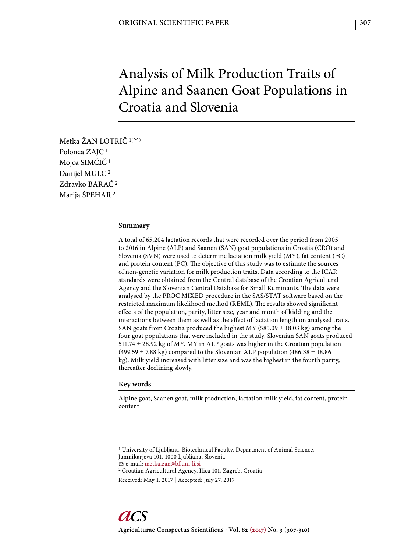# Analysis of Milk Production Traits of Alpine and Saanen Goat Populations in Croatia and Slovenia

Metka ŽAN LOTRIČ  $1($ <sup> $\odot$ </sup>) Polonca ZAJC 1 Mojca SIMČIČ 1 Danijel MULC 2 Zdravko BARAĆ 2 Marija ŠPEHAR 2

## **Summary**

A total of 65,204 lactation records that were recorded over the period from 2005 to 2016 in Alpine (ALP) and Saanen (SAN) goat populations in Croatia (CRO) and Slovenia (SVN) were used to determine lactation milk yield (MY), fat content (FC) and protein content (PC). The objective of this study was to estimate the sources of non-genetic variation for milk production traits. Data according to the ICAR standards were obtained from the Central database of the Croatian Agricultural Agency and the Slovenian Central Database for Small Ruminants. The data were analysed by the PROC MIXED procedure in the SAS/STAT software based on the restricted maximum likelihood method (REML). The results showed significant effects of the population, parity, litter size, year and month of kidding and the interactions between them as well as the effect of lactation length on analysed traits. SAN goats from Croatia produced the highest MY (585.09 ± 18.03 kg) among the four goat populations that were included in the study. Slovenian SAN goats produced 511.74 ± 28.92 kg of MY. MY in ALP goats was higher in the Croatian population (499.59  $\pm$  7.88 kg) compared to the Slovenian ALP population (486.38  $\pm$  18.86 kg). Milk yield increased with litter size and was the highest in the fourth parity, thereafter declining slowly.

## **Key words**

Alpine goat, Saanen goat, milk production, lactation milk yield, fat content, protein content

1 University of Ljubljana, Biotechnical Faculty, Department of Animal Science, Jamnikarjeva 101, 1000 Ljubljana, Slovenia e-mail: metka.zan@bf.uni-lj.si 2 Croatian Agricultural Agency, Ilica 101, Zagreb, Croatia Received: May 1, 2017 | Accepted: July 27, 2017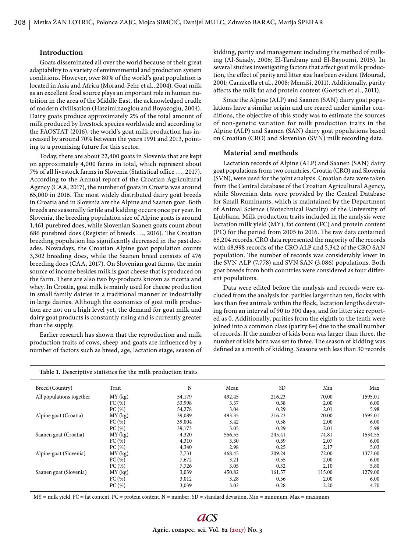## **Introduction**

Goats disseminated all over the world because of their great adaptability to a variety of environmental and production system conditions. However, over 80% of the world's goat population is located in Asia and Africa (Morand-Fehr et al., 2004). Goat milk as an excellent food source plays an important role in human nutrition in the area of the Middle East, the acknowledged cradle of modern civilisation (Hatziminaoglou and Boyazoglu, 2004). Dairy goats produce approximately 2% of the total amount of milk produced by livestock species worldwide and according to the FAOSTAT (2016), the world's goat milk production has increased by around 70% between the years 1991 and 2013, pointing to a promising future for this sector.

Today, there are about 22,400 goats in Slovenia that are kept on approximately 4,000 farms in total, which represent about 7% of all livestock farms in Slovenia (Statistical office ..., 2017). According to the Annual report of the Croatian Agricultural Agency (CAA, 2017), the number of goats in Croatia was around 65,000 in 2016. The most widely distributed dairy goat breeds in Croatia and in Slovenia are the Alpine and Saanen goat. Both breeds are seasonally fertile and kidding occurs once per year. In Slovenia, the breeding population size of Alpine goats is around 1,461 purebred does, while Slovenian Saanen goats count about 686 purebred does (Register of breeds ..., 2016). The Croatian breeding population has significantly decreased in the past decades. Nowadays, the Croatian Alpine goat population counts 3,302 breeding does, while the Saanen breed consists of 476 breeding does (CAA, 2017). On Slovenian goat farms, the main source of income besides milk is goat cheese that is produced on the farm. There are also two by-products known as ricotta and whey. In Croatia, goat milk is mainly used for cheese production in small family dairies in a traditional manner or industrially in large dairies. Although the economics of goat milk production are not on a high level yet, the demand for goat milk and dairy goat products is constantly rising and is currently greater than the supply.

Earlier research has shown that the reproduction and milk production traits of cows, sheep and goats are influenced by a number of factors such as breed, age, lactation stage, season of kidding, parity and management including the method of milking (Al-Saiady, 2006; El-Tarabany and El-Bayoumi, 2015). In several studies investigating factors that affect goat milk production, the effect of parity and litter size has been evident (Mourad, 2001; Carnicella et al., 2008; Memiši, 2011). Additionally, parity affects the milk fat and protein content (Goetsch et al., 2011).

Since the Alpine (ALP) and Saanen (SAN) dairy goat populations have a similar origin and are reared under similar conditions, the objective of this study was to estimate the sources of non-genetic variation for milk production traits in the Alpine (ALP) and Saanen (SAN) dairy goat populations based on Croatian (CRO) and Slovenian (SVN) milk recording data.

## **Material and methods**

Lactation records of Alpine (ALP) and Saanen (SAN) dairy goat populations from two countries, Croatia (CRO) and Slovenia (SVN), were used for the joint analysis. Croatian data were taken from the Central database of the Croatian Agricultural Agency, while Slovenian data were provided by the Central Database for Small Ruminants, which is maintained by the Department of Animal Science (Biotechnical Faculty) of the University of Ljubljana. Milk production traits included in the analysis were lactation milk yield (MY), fat content (FC) and protein content (PC) for the period from 2005 to 2016. The raw data contained 65,204 records. CRO data represented the majority of the records with 48,998 records of the CRO ALP and 5,342 of the CRO SAN population. The number of records was considerably lower in the SVN ALP (7,778) and SVN SAN (3,086) populations. Both goat breeds from both countries were considered as four different populations.

Data were edited before the analysis and records were excluded from the analysis for: parities larger than ten, flocks with less than five animals within the flock, lactation lengths deviating from an interval of 90 to 300 days, and for litter size reported as 0. Additionally, parities from the eighth to the tenth were joined into a common class (parity 8+) due to the small number of records. If the number of kids born was larger than three, the number of kids born was set to three. The season of kidding was defined as a month of kidding. Seasons with less than 30 records

| Table 1. Descriptive statistics for the milk production traits |           |        |        |           |        |         |
|----------------------------------------------------------------|-----------|--------|--------|-----------|--------|---------|
| Breed (Country)                                                | Trait     | N      | Mean   | <b>SD</b> | Min    | Max     |
| All populations together                                       | MY(kg)    | 54,179 | 492.45 | 216.23    | 70.00  | 1595.01 |
|                                                                | FC(%)     | 53,998 | 3.37   | 0.58      | 2.00   | 6.00    |
|                                                                | PC(%)     | 54,278 | 3.04   | 0.29      | 2.01   | 5.98    |
| Alpine goat (Croatia)                                          | $MY$ (kg) | 39,089 | 493.35 | 216.23    | 70.00  | 1595.01 |
|                                                                | FC(%)     | 39,004 | 3.42   | 0.58      | 2.00   | 6.00    |
|                                                                | PC(%)     | 39,173 | 3.05   | 0.29      | 2.01   | 5.98    |
| Saanen goat (Croatia)                                          | MY(kg)    | 4,320  | 556.55 | 245.41    | 74.81  | 1534.55 |
|                                                                | FC(%)     | 4,310  | 3.30   | 0.59      | 2.07   | 6.00    |
|                                                                | PC(%)     | 4,340  | 2.98   | 0.25      | 2.17   | 5.03    |
| Alpine goat (Slovenia)                                         | MY(kg)    | 7,731  | 468.45 | 209.24    | 72.00  | 1373.00 |
|                                                                | FC(%)     | 7,672  | 3.21   | 0.55      | 2.00   | 6.00    |
|                                                                | PC(%)     | 7,726  | 3.05   | 0.32      | 2.10   | 5.80    |
| Saanen goat (Slovenia)                                         | MY(kg)    | 3,039  | 450.82 | 161.57    | 115.00 | 1279.00 |
|                                                                | FC(%)     | 3,012  | 3.28   | 0.56      | 2.00   | 6.00    |
|                                                                | PC(%)     | 3,039  | 3.02   | 0.28      | 2.20   | 4.70    |

 $MY = milk yield, FC = fat content, PC = protein content, N = number, SD = standard deviation, Min = minimum, Max = maximum$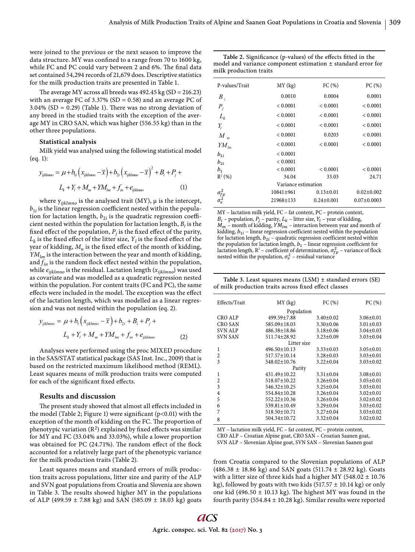were joined to the previous or the next season to improve the data structure. MY was confined to a range from 70 to 1600 kg, while FC and PC could vary between 2 and 6%. The final data set contained 54,294 records of 21,679 does. Descriptive statistics for the milk production traits are presented in Table 1.

The average MY across all breeds was  $492.45$  kg (SD = 216.23) with an average FC of 3.37% (SD = 0.58) and an average PC of 3.04% (SD = 0.29) (Table 1). There was no strong deviation of any breed in the studied traits with the exception of the average MY in CRO SAN, which was higher (556.55 kg) than in the other three populations.

## **Statistical analysis**

Milk yield was analysed using the following statistical model (eq. 1):

$$
y_{ijklmno} = \mu + b_{li} \left( x_{ijklmno} - \overline{x} \right) + b_{2i} \left( x_{ijklmno} - \overline{x} \right)^2 + B_i + P_j +
$$
  

$$
L_k + Y_l + M_m + YM_{lm} + f_m + e_{ijklmno}
$$
 (1)

where y*ijklmno* is the analysed trait (MY), μ is the intercept,  $b_{1i}$  is the linear regression coefficient nested within the population for lactation length,  $b_{2i}$  is the quadratic regression coefficient nested within the population for lactation length,  $B_i$  is the fixed effect of the population,  $P_j$  is the fixed effect of the parity,  $L_k$  is the fixed effect of the litter size,  $\boldsymbol{Y}_l$  is the fixed effect of the year of kidding,  $M_n$  is the fixed effect of the month of kidding, *YMlm* is the interaction between the year and month of kidding, and  $f_{in}$  is the random flock effect nested within the population, while *eijklmno* is the residual. Lactation length (*xijklmno*) was used as covariate and was modelled as a quadratic regression nested within the population. For content traits (FC and PC), the same effects were included in the model. The exception was the effect of the lactation length, which was modelled as a linear regression and was not nested within the population (eq. 2).

$$
y_{ijklmno} = \mu + b_1 \left( x_{ijklmno} - \overline{x} \right) + b_{2i} + B_i + P_j +
$$
  

$$
L_k + Y_l + M_m + YM_{lm} + f_{in} + e_{ijklmno}
$$
 (2)

Analyses were performed using the proc MIXED procedure in the SAS/STAT statistical package (SAS Inst. Inc., 2009) that is based on the restricted maximum likelihood method (REML). Least squares means of milk production traits were computed for each of the significant fixed effects.

#### **Resu lts and discussion**

The present study showed that almost all effects included in the model (Table 2; Figure 1) were significant ( $p<0.01$ ) with the exception of the month of kidding on the FC. The proportion of phenotypic variation  $(R^2)$  explained by fixed effects was similar for MY and FC (33.04% and 33.03%), while a lower proportion was obtained for PC (24.71%). The random effect of the flock accounted for a relatively large part of the phenotypic variance for the milk production traits (Table 2).

Least squares means and standard errors of milk production traits across populations, litter size and parity of the ALP and SVN goat populations from Croatia and Slovenia are shown in Table 3. The results showed higher MY in the populations of ALP (499.59  $\pm$  7.88 kg) and SAN (585.09  $\pm$  18.03 kg) goats

|                        | Table 2. Significance (p-values) of the effects fitted in the    |
|------------------------|------------------------------------------------------------------|
|                        | model and variance component estimation $\pm$ standard error for |
| milk production traits |                                                                  |

| P-values/Trait                       | MY(kg)    | FC(%)            | PC(%)             |  |  |  |
|--------------------------------------|-----------|------------------|-------------------|--|--|--|
| $B_i$                                | 0.0010    | 0.0004           | 0.0001            |  |  |  |
| $P_i$                                | < 0.0001  | < 0.0001         | < 0.0001          |  |  |  |
| $L_k$                                | < 0.0001  | < 0.0001         | < 0.0001          |  |  |  |
| $Y_{\!\scriptscriptstyle{I}}$        | < 0.0001  | < 0.0001         | < 0.0001          |  |  |  |
| M                                    | < 0.0001  | 0.0203           | < 0.0001          |  |  |  |
| $YM_{lm}$                            | < 0.0001  | < 0.0001         | < 0.0001          |  |  |  |
| $b_{1i}$                             | < 0.0001  |                  |                   |  |  |  |
| $b_{2i}$                             | < 0.0001  |                  |                   |  |  |  |
| b <sub>1</sub>                       | < 0.0001  | < 0.0001         | < 0.0001          |  |  |  |
| $R^2(%)$                             | 34.04     | 33.03            | 24.71             |  |  |  |
| Variance estimation                  |           |                  |                   |  |  |  |
|                                      | 10841±961 | $0.13 \pm 0.01$  | $0.02 \pm 0.002$  |  |  |  |
| $\frac{\sigma_{\!fp}^2}{\sigma_e^2}$ | 21968±133 | $0.24 \pm 0.001$ | $0.07 \pm 0.0003$ |  |  |  |
|                                      |           |                  |                   |  |  |  |

MY – lactation milk yield, FC – fat content, PC – protein content,  $B_i$  – population,  $P_j$  – parity,  $L_k$  – litter size,  $Y_l$  – year of kidding,  $\vec{M}_m$  – month of kidding,  $\vec{Y} \vec{M}_{lm}$  – interaction between year and month of kidding,  $b_{1i}$  – linear regression coefficient nested within the population for lactation length,  $b_{2i}$  – quadratic regression coefficient nested within the population for lactation length,  $b_1$  – linear regression coefficient for lactation length,  $R^2$  – coefficient of determination,  $\sigma_{fp}^2$  – variance of flock nested within the population,  $\sigma_e^2$  – residual variance

**Table 3.** Least squares means (LSM) ± standard errors (SE) of milk production traits across fixed effect classes

| Effects/Trait  | MY(kg)             | FC(%)           | PC(%)           |  |  |  |  |
|----------------|--------------------|-----------------|-----------------|--|--|--|--|
| Population     |                    |                 |                 |  |  |  |  |
| <b>CRO ALP</b> | 499.59±7.88        | $3.40 \pm 0.02$ | $3.06 \pm 0.01$ |  |  |  |  |
| CRO SAN        | 585.09±18.03       | $3.30 \pm 0.06$ | $3.01 \pm 0.03$ |  |  |  |  |
| <b>SVN ALP</b> | 486.38±18.86       | $3.18 \pm 0.06$ | $3.04 \pm 0.03$ |  |  |  |  |
| <b>SVN SAN</b> | $511.74 \pm 28.92$ | $3.23 \pm 0.09$ | $3.03 \pm 0.04$ |  |  |  |  |
| Litter size    |                    |                 |                 |  |  |  |  |
| 1              | $496.50 \pm 10.13$ | $3.33 \pm 0.03$ | $3.05 \pm 0.01$ |  |  |  |  |
| $\overline{2}$ | 517.57±10.14       | $3.28 \pm 0.03$ | $3.03 \pm 0.01$ |  |  |  |  |
| 3              | $548.02 \pm 10.76$ | $3.22 \pm 0.04$ | $3.03 \pm 0.02$ |  |  |  |  |
| Parity         |                    |                 |                 |  |  |  |  |
| 1              | $431.49 \pm 10.22$ | $3.31 \pm 0.04$ | $3.08 \pm 0.01$ |  |  |  |  |
| $\overline{2}$ | 518.07±10.22       | $3.26 \pm 0.04$ | $3.05 \pm 0.01$ |  |  |  |  |
| 3              | $546.32 \pm 10.25$ | $3.25 \pm 0.04$ | $3.03 \pm 0.01$ |  |  |  |  |
| $\overline{4}$ | $554.84 \pm 10.28$ | $3.26 \pm 0.04$ | $3.02 \pm 0.01$ |  |  |  |  |
| 5              | $552.22 \pm 10.36$ | $3.26 \pm 0.04$ | $3.02 + 0.02$   |  |  |  |  |
| 6              | $539.81 \pm 10.49$ | $3.29 \pm 0.04$ | $3.03 \pm 0.02$ |  |  |  |  |
| 7              | $518.50 \pm 10.71$ | $3.27 \pm 0.04$ | $3.03 \pm 0.02$ |  |  |  |  |
| 8              | 504.34±10.72       | $3.32 \pm 0.04$ | $3.02 \pm 0.02$ |  |  |  |  |

MY – lactation milk yield, FC – fat content, PC – protein content, CRO ALP – Croatian Alpine goat, CRO SAN – Croatian Saanen goat, SVN ALP – Slovenian Alpine goat, SVN SAN – Slovenian Saanen goat

from Croatia compared to the Slovenian populations of ALP  $(486.38 \pm 18.86 \text{ kg})$  and SAN goats  $(511.74 \pm 28.92 \text{ kg})$ . Goats with a litter size of three kids had a higher MY (548.02 ± 10.76 kg), followed by goats with two kids (517.57  $\pm$  10.14 kg) or only one kid (496.50  $\pm$  10.13 kg). The highest MY was found in the fourth parity (554.84  $\pm$  10.28 kg). Similar results were reported